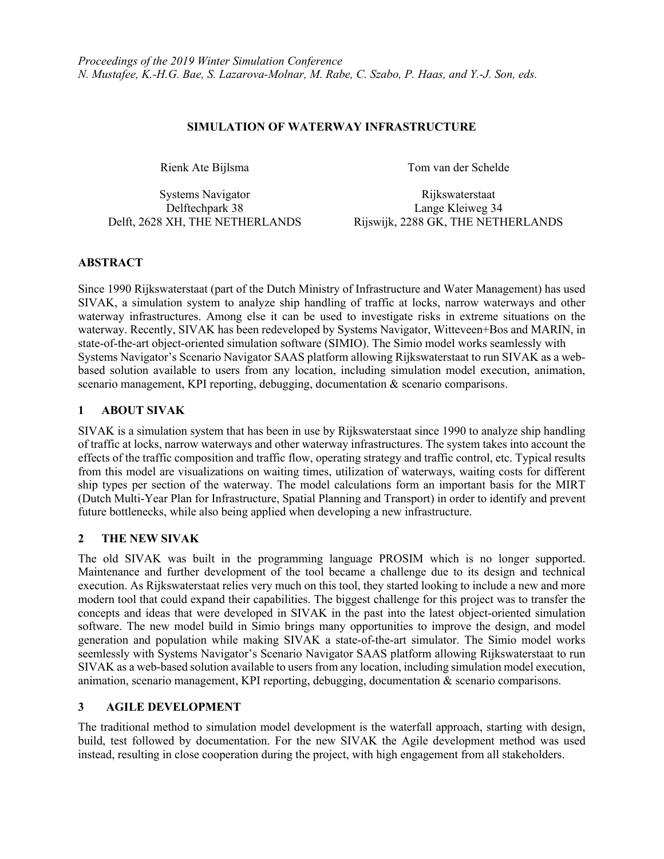### **SIMULATION OF WATERWAY INFRASTRUCTURE**

Rienk Ate Bijlsma<br>
Tom van der Schelde

Systems Navigator Rijkswaterstaat Delftechpark 38 Lange Kleiweg 34 Delft, 2628 XH, THE NETHERLANDS Rijswijk, 2288 GK, THE NETHERLANDS

## **ABSTRACT**

Since 1990 Rijkswaterstaat (part of the Dutch Ministry of Infrastructure and Water Management) has used SIVAK, a simulation system to analyze ship handling of traffic at locks, narrow waterways and other waterway infrastructures. Among else it can be used to investigate risks in extreme situations on the waterway. Recently, SIVAK has been redeveloped by Systems Navigator, Witteveen+Bos and MARIN, in state-of-the-art object-oriented simulation software (SIMIO). The Simio model works seamlessly with Systems Navigator's Scenario Navigator SAAS platform allowing Rijkswaterstaat to run SIVAK as a webbased solution available to users from any location, including simulation model execution, animation, scenario management, KPI reporting, debugging, documentation & scenario comparisons.

## **1 ABOUT SIVAK**

SIVAK is a simulation system that has been in use by Rijkswaterstaat since 1990 to analyze ship handling of traffic at locks, narrow waterways and other waterway infrastructures. The system takes into account the effects of the traffic composition and traffic flow, operating strategy and traffic control, etc. Typical results from this model are visualizations on waiting times, utilization of waterways, waiting costs for different ship types per section of the waterway. The model calculations form an important basis for the MIRT (Dutch Multi-Year Plan for Infrastructure, Spatial Planning and Transport) in order to identify and prevent future bottlenecks, while also being applied when developing a new infrastructure.

### **2 THE NEW SIVAK**

The old SIVAK was built in the programming language PROSIM which is no longer supported. Maintenance and further development of the tool became a challenge due to its design and technical execution. As Rijkswaterstaat relies very much on this tool, they started looking to include a new and more modern tool that could expand their capabilities. The biggest challenge for this project was to transfer the concepts and ideas that were developed in SIVAK in the past into the latest object-oriented simulation software. The new model build in Simio brings many opportunities to improve the design, and model generation and population while making SIVAK a state-of-the-art simulator. The Simio model works seemlessly with Systems Navigator's Scenario Navigator SAAS platform allowing Rijkswaterstaat to run SIVAK as a web-based solution available to users from any location, including simulation model execution, animation, scenario management, KPI reporting, debugging, documentation & scenario comparisons.

# **3 AGILE DEVELOPMENT**

The traditional method to simulation model development is the waterfall approach, starting with design, build, test followed by documentation. For the new SIVAK the Agile development method was used instead, resulting in close cooperation during the project, with high engagement from all stakeholders.